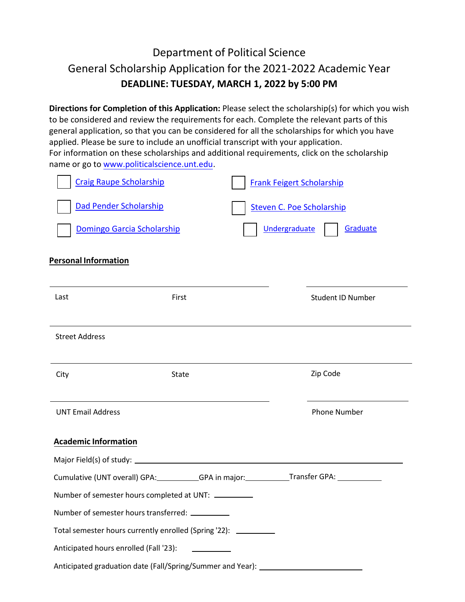## Department of Political Science General Scholarship Application for the 2021-2022 Academic Year **DEADLINE: TUESDAY, MARCH 1, 2022 by 5:00 PM**

**Directions for Completion of this Application:** Please select the scholarship(s) for which you wish to be considered and review the requirements for each. Complete the relevant parts of this general application, so that you can be considered for all the scholarships for which you have applied. Please be sure to include an unofficial transcript with your application. For information on these scholarships and additional requirements, click on the scholarship name or go to [www.politicalscience.unt.edu.](www.politicalscience.unt.edu) 

| <b>Craig Raupe Scholarship</b><br><b>Frank Feigert Scholarship</b>                      |                                                   |                          |
|-----------------------------------------------------------------------------------------|---------------------------------------------------|--------------------------|
| Dad Pender Scholarship                                                                  | <b>Steven C. Poe Scholarship</b><br>Undergraduate | Graduate                 |
| Domingo Garcia Scholarship                                                              |                                                   |                          |
| <b>Personal Information</b>                                                             |                                                   |                          |
|                                                                                         |                                                   |                          |
| Last                                                                                    | First                                             | <b>Student ID Number</b> |
|                                                                                         |                                                   |                          |
| <b>Street Address</b>                                                                   |                                                   |                          |
|                                                                                         |                                                   |                          |
| City                                                                                    | State                                             | Zip Code                 |
|                                                                                         |                                                   |                          |
| <b>UNT Email Address</b>                                                                |                                                   | <b>Phone Number</b>      |
| <b>Academic Information</b>                                                             |                                                   |                          |
|                                                                                         |                                                   |                          |
| Cumulative (UNT overall) GPA: GPA in major: Transfer GPA: Cumulative (UNT overall) GPA: |                                                   |                          |
| Number of semester hours completed at UNT: __________                                   |                                                   |                          |
| Number of semester hours transferred: __________                                        |                                                   |                          |
| Total semester hours currently enrolled (Spring '22): __________                        |                                                   |                          |
| Anticipated hours enrolled (Fall '23):                                                  |                                                   |                          |
| Anticipated graduation date (Fall/Spring/Summer and Year): _____________________        |                                                   |                          |